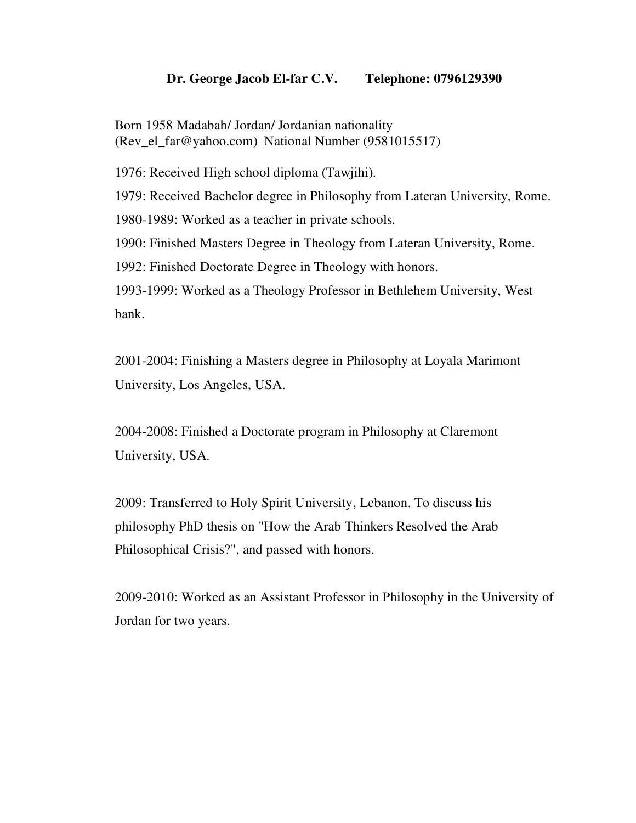## **Dr. George Jacob El-far C.V. Telephone: 0796129390**

Born 1958 Madabah/ Jordan/ Jordanian nationality (Rev\_el\_far@yahoo.com) National Number (9581015517)

1976: Received High school diploma (Tawjihi).

1979: Received Bachelor degree in Philosophy from Lateran University, Rome.

1980-1989: Worked as a teacher in private schools.

1990: Finished Masters Degree in Theology from Lateran University, Rome.

1992: Finished Doctorate Degree in Theology with honors.

1993-1999: Worked as a Theology Professor in Bethlehem University, West bank.

2001-2004: Finishing a Masters degree in Philosophy at Loyala Marimont University, Los Angeles, USA.

2004-2008: Finished a Doctorate program in Philosophy at Claremont University, USA.

2009: Transferred to Holy Spirit University, Lebanon. To discuss his philosophy PhD thesis on "How the Arab Thinkers Resolved the Arab Philosophical Crisis?", and passed with honors.

2009-2010: Worked as an Assistant Professor in Philosophy in the University of Jordan for two years.